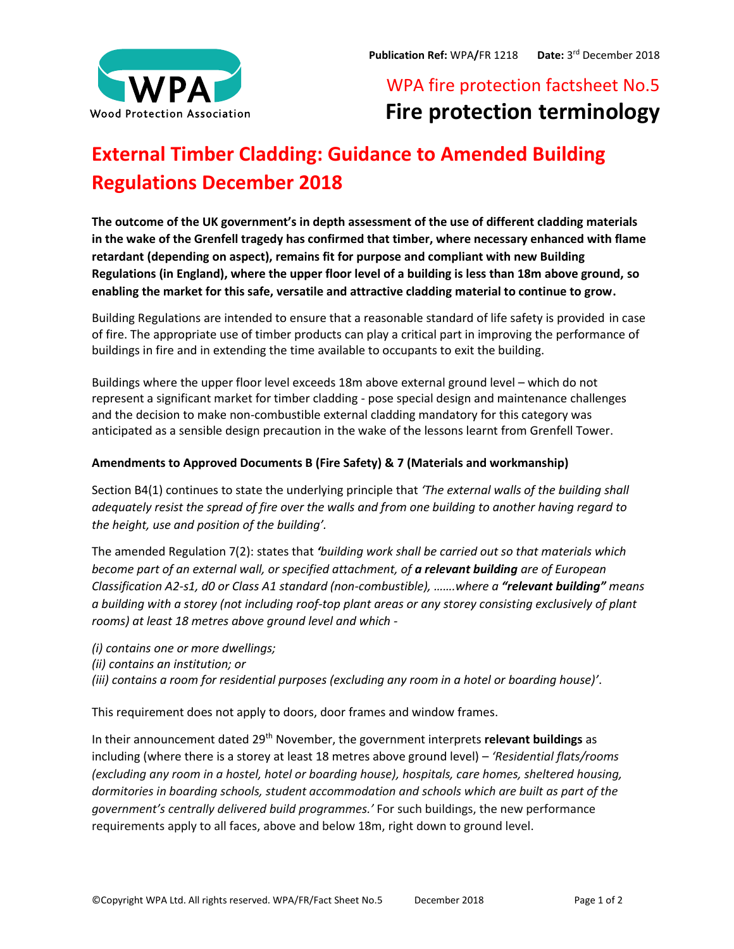

# WPA fire protection factsheet No.5 **Fire protection terminology**

# **External Timber Cladding: Guidance to Amended Building Regulations December 2018**

**The outcome of the UK government's in depth assessment of the use of different cladding materials in the wake of the Grenfell tragedy has confirmed that timber, where necessary enhanced with flame retardant (depending on aspect), remains fit for purpose and compliant with new Building Regulations (in England), where the upper floor level of a building is less than 18m above ground, so enabling the market for this safe, versatile and attractive cladding material to continue to grow.**

Building Regulations are intended to ensure that a reasonable standard of life safety is provided in case of fire. The appropriate use of timber products can play a critical part in improving the performance of buildings in fire and in extending the time available to occupants to exit the building.

Buildings where the upper floor level exceeds 18m above external ground level – which do not represent a significant market for timber cladding - pose special design and maintenance challenges and the decision to make non-combustible external cladding mandatory for this category was anticipated as a sensible design precaution in the wake of the lessons learnt from Grenfell Tower.

# **Amendments to Approved Documents B (Fire Safety) & 7 (Materials and workmanship)**

Section B4(1) continues to state the underlying principle that *'The external walls of the building shall adequately resist the spread of fire over the walls and from one building to another having regard to the height, use and position of the building'.*

The amended Regulation 7(2): states that *'building work shall be carried out so that materials which become part of an external wall, or specified attachment, of a relevant building are of European Classification A2-s1, d0 or Class A1 standard (non-combustible), …….where a "relevant building" means a building with a storey (not including roof-top plant areas or any storey consisting exclusively of plant rooms) at least 18 metres above ground level and which -*

- *(i) contains one or more dwellings;*
- *(ii) contains an institution; or*
- *(iii) contains a room for residential purposes (excluding any room in a hotel or boarding house)'*.

This requirement does not apply to doors, door frames and window frames.

In their announcement dated 29<sup>th</sup> November, the government interprets **relevant buildings** as including (where there is a storey at least 18 metres above ground level) – *'Residential flats/rooms (excluding any room in a hostel, hotel or boarding house), hospitals, care homes, sheltered housing, dormitories in boarding schools, student accommodation and schools which are built as part of the government's centrally delivered build programmes.'* For such buildings, the new performance requirements apply to all faces, above and below 18m, right down to ground level.